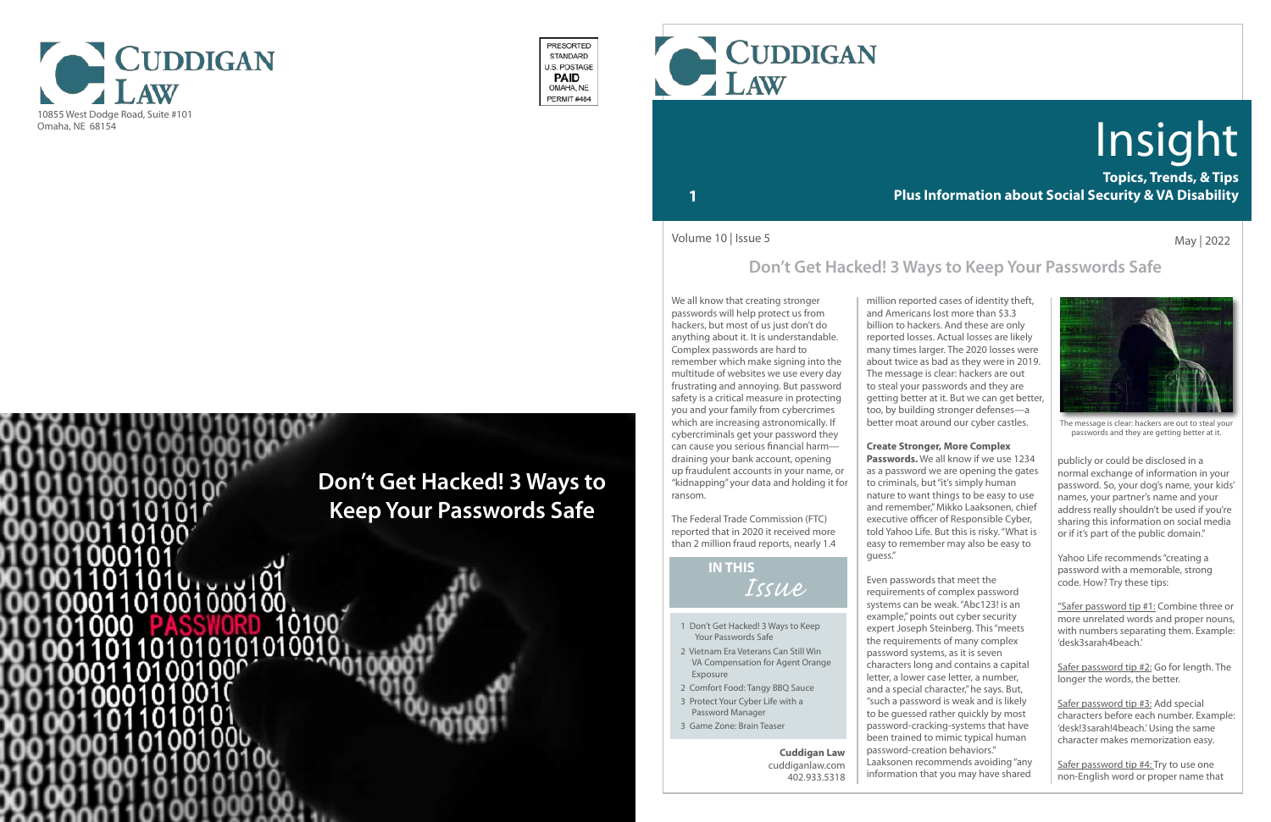

- 1 Don't Get Hacked! 3 Ways to Keep Your Passwords Safe
- 2 Vietnam Era Veterans Can Still Win VA Compensation for Agent Orange Exposure
- 2 Comfort Food: Tangy BBQ Sauce
- 3 Protect Your Cyber Life with a Password Manager
- 3 Game Zone: Brain Teaser

## *Issue* **IN THIS**

**Topics, Trends, & Tips Plus Information about Social Security & VA Disability**

# Insight

## **1**



The message is clear: hackers are out to steal your passwords and they are getting better at it.

We all know that creating stronger passwords will help protect us from hackers, but most of us just don't do anything about it. It is understandable. Complex passwords are hard to remember which make signing into the multitude of websites we use every day frustrating and annoying. But password safety is a critical measure in protecting you and your family from cybercrimes which are increasing astronomically. If cybercriminals get your password they can cause you serious financial harm draining your bank account, opening up fraudulent accounts in your name, or "kidnapping" your data and holding it for ransom.

The Federal Trade Commission (FTC) reported that in 2020 it received more than 2 million fraud reports, nearly 1.4 May | 2022

million reported cases of identity theft, and Americans lost more than \$3.3 billion to hackers. And these are only reported losses. Actual losses are likely many times larger. The 2020 losses were about twice as bad as they were in 2019. The message is clear: hackers are out to steal your passwords and they are getting better at it. But we can get better, too, by building stronger defenses—a better moat around our cyber castles.

#### **Create Stronger, More Complex**

Safer password tip #2: Go for length. The longer the words, the better.

**Passwords.** We all know if we use 1234 as a password we are opening the gates to criminals, but "it's simply human nature to want things to be easy to use and remember," Mikko Laaksonen, chief executive officer of Responsible Cyber, told Yahoo Life. But this is risky. "What is easy to remember may also be easy to guess."

Even passwords that meet the requirements of complex password systems can be weak. "Abc123! is an example," points out cyber security expert Joseph Steinberg. This "meets the requirements of many complex password systems, as it is seven characters long and contains a capital letter, a lower case letter, a number, and a special character," he says. But, "such a password is weak and is likely to be guessed rather quickly by most password-cracking-systems that have been trained to mimic typical human password-creation behaviors." Laaksonen recommends avoiding "any information that you may have shared

Volume 10 | Issue 5

#### **Cuddigan Law** cuddiganlaw.com 402.933.5318



PRESORTED STANDARD **J.S. POSTAGE PAID** OMAHA, NE PERMIT#484

> publicly or could be disclosed in a normal exchange of information in your password. So, your dog's name, your kids' names, your partner's name and your address really shouldn't be used if you're sharing this information on social media or if it's part of the public domain."

Yahoo Life recommends "creating a password with a memorable, strong code. How? Try these tips:

"Safer password tip #1: Combine three or more unrelated words and proper nouns, with numbers separating them. Example: 'desk3sarah4beach.'

Safer password tip #3: Add special characters before each number. Example: 'desk!3sarah!4beach.' Using the same character makes memorization easy.

Safer password tip #4: Try to use one non-English word or proper name that

## **Don't Get Hacked! 3 Ways to Keep Your Passwords Safe**

# **Don't Get Hacked! 3 Ways to Keep Your Passwords Safe**